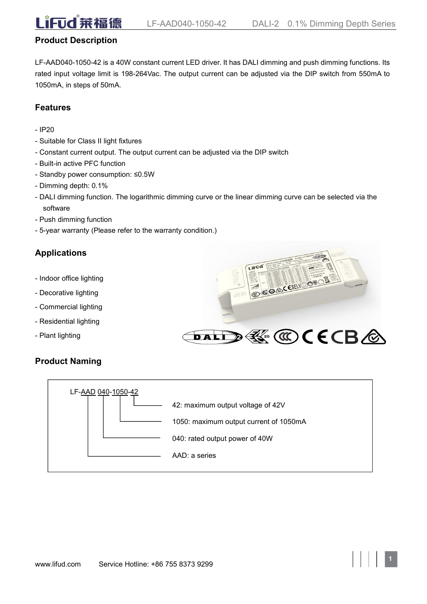# **Product Description**

LF-AAD040-1050-42 is a 40W constant current LED driver. It has DALI dimming and push dimming functions. Its rated input voltage limit is 198-264Vac. The output current can be adjusted via the DIP switch from 550mA to 1050mA, in steps of 50mA.

# **Features**

- IP20
- Suitable for Class II light fixtures
- Constant current output. The output current can be adjusted via the DIP switch
- Built-in active PFC function
- Standby power consumption: ≤0.5W
- Dimming depth: 0.1%
- DALI dimming function. The logarithmic dimming curve or the linear dimming curve can be selected via the software
- Push dimming function
- 5-year warranty (Please refer to the warranty condition.)

# **Applications**

- Indoor office lighting
- Decorative lighting
- Commercial lighting
- Residential lighting
- Plant lighting

# iFud **COOCESELVE** DALI)  $\mathbb{E}$  (C) (ECB  $\otimes$

**1**

# **Product Naming**

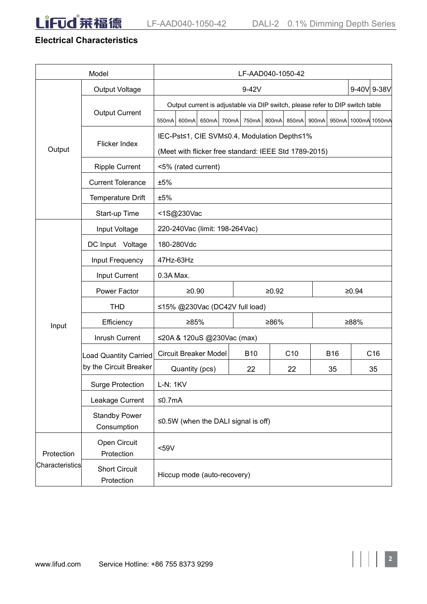

# **Electrical Characteristics**

|                 | Model                              | LF-AAD040-1050-42                                                             |  |                   |  |                 |       |             |                     |     |  |
|-----------------|------------------------------------|-------------------------------------------------------------------------------|--|-------------------|--|-----------------|-------|-------------|---------------------|-----|--|
|                 | Output Voltage                     | 9-42V                                                                         |  |                   |  |                 |       | 9-40V 9-38V |                     |     |  |
| Output          | <b>Output Current</b>              | Output current is adjustable via DIP switch, please refer to DIP switch table |  |                   |  |                 |       |             |                     |     |  |
|                 |                                    | 550mA 600mA<br>650mA                                                          |  | 700mA 750mA 800mA |  | 850mA           | 900mA |             | 950mA 1000mA 1050mA |     |  |
|                 | Flicker Index                      | IEC-Pst≤1, CIE SVM≤0.4, Modulation Depth≤1%                                   |  |                   |  |                 |       |             |                     |     |  |
|                 |                                    | (Meet with flicker free standard: IEEE Std 1789-2015)                         |  |                   |  |                 |       |             |                     |     |  |
|                 | <b>Ripple Current</b>              | <5% (rated current)                                                           |  |                   |  |                 |       |             |                     |     |  |
|                 | <b>Current Tolerance</b>           | ±5%                                                                           |  |                   |  |                 |       |             |                     |     |  |
|                 | Temperature Drift                  | ±5%                                                                           |  |                   |  |                 |       |             |                     |     |  |
|                 | Start-up Time                      | <1S@230Vac                                                                    |  |                   |  |                 |       |             |                     |     |  |
|                 | Input Voltage                      | 220-240Vac (limit: 198-264Vac)                                                |  |                   |  |                 |       |             |                     |     |  |
|                 | DC Input Voltage                   | 180-280Vdc                                                                    |  |                   |  |                 |       |             |                     |     |  |
|                 | Input Frequency                    | 47Hz-63Hz                                                                     |  |                   |  |                 |       |             |                     |     |  |
|                 | Input Current                      | 0.3A Max.                                                                     |  |                   |  |                 |       |             |                     |     |  |
|                 | Power Factor                       | $≥0.90$                                                                       |  | ≥0.92             |  |                 | ≥0.94 |             |                     |     |  |
|                 | <b>THD</b>                         | ≤15% @230Vac (DC42V full load)                                                |  |                   |  |                 |       |             |                     |     |  |
| Input           | Efficiency                         | ≥85%<br>≥86%                                                                  |  |                   |  |                 |       | ≥88%        |                     |     |  |
|                 | Inrush Current                     | ≤20A & 120uS @230Vac (max)                                                    |  |                   |  |                 |       |             |                     |     |  |
|                 | Load Quantity Carried              | <b>Circuit Breaker Model</b>                                                  |  | <b>B10</b>        |  | C <sub>10</sub> |       | <b>B16</b>  |                     | C16 |  |
|                 | by the Circuit Breaker             | Quantity (pcs)                                                                |  | 22                |  | 22              |       | 35          |                     | 35  |  |
|                 | <b>Surge Protection</b>            | <b>L-N: 1KV</b>                                                               |  |                   |  |                 |       |             |                     |     |  |
|                 | Leakage Current                    | $≤0.7mA$                                                                      |  |                   |  |                 |       |             |                     |     |  |
|                 | <b>Standby Power</b>               | $\leq$ 0.5W (when the DALI signal is off)                                     |  |                   |  |                 |       |             |                     |     |  |
|                 | Consumption                        |                                                                               |  |                   |  |                 |       |             |                     |     |  |
| Protection      | Open Circuit<br>Protection         | $59V$                                                                         |  |                   |  |                 |       |             |                     |     |  |
| Characteristics | <b>Short Circuit</b><br>Protection | Hiccup mode (auto-recovery)                                                   |  |                   |  |                 |       |             |                     |     |  |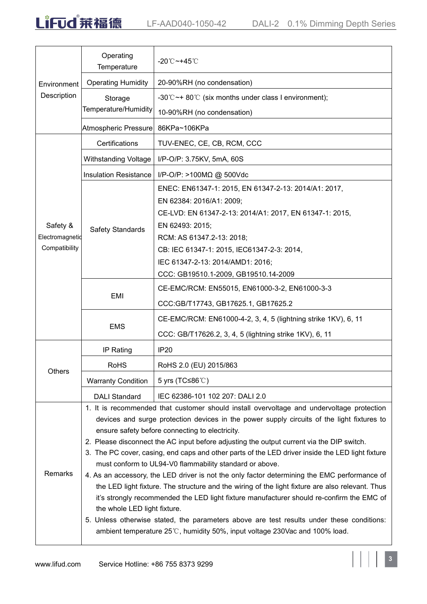

|                                              | Operating<br>Temperature                                                                                                                                                                                                                                                                                                                                                                                                                                                                                                                                                                                                                                                                                                                                                                                                                                                                                                                                                                                                      | -20℃~+45℃                                                                                                                                                                                                                                                                                                             |  |  |  |  |
|----------------------------------------------|-------------------------------------------------------------------------------------------------------------------------------------------------------------------------------------------------------------------------------------------------------------------------------------------------------------------------------------------------------------------------------------------------------------------------------------------------------------------------------------------------------------------------------------------------------------------------------------------------------------------------------------------------------------------------------------------------------------------------------------------------------------------------------------------------------------------------------------------------------------------------------------------------------------------------------------------------------------------------------------------------------------------------------|-----------------------------------------------------------------------------------------------------------------------------------------------------------------------------------------------------------------------------------------------------------------------------------------------------------------------|--|--|--|--|
| Environment                                  | <b>Operating Humidity</b>                                                                                                                                                                                                                                                                                                                                                                                                                                                                                                                                                                                                                                                                                                                                                                                                                                                                                                                                                                                                     | 20-90%RH (no condensation)                                                                                                                                                                                                                                                                                            |  |  |  |  |
| Description                                  | Storage<br>Temperature/Humidity                                                                                                                                                                                                                                                                                                                                                                                                                                                                                                                                                                                                                                                                                                                                                                                                                                                                                                                                                                                               | -30°C $\sim$ + 80°C (six months under class I environment);<br>10-90%RH (no condensation)                                                                                                                                                                                                                             |  |  |  |  |
|                                              | Atmospheric Pressure                                                                                                                                                                                                                                                                                                                                                                                                                                                                                                                                                                                                                                                                                                                                                                                                                                                                                                                                                                                                          | 86KPa~106KPa                                                                                                                                                                                                                                                                                                          |  |  |  |  |
|                                              | Certifications                                                                                                                                                                                                                                                                                                                                                                                                                                                                                                                                                                                                                                                                                                                                                                                                                                                                                                                                                                                                                | TUV-ENEC, CE, CB, RCM, CCC                                                                                                                                                                                                                                                                                            |  |  |  |  |
|                                              | <b>Withstanding Voltage</b>                                                                                                                                                                                                                                                                                                                                                                                                                                                                                                                                                                                                                                                                                                                                                                                                                                                                                                                                                                                                   | I/P-O/P: 3.75KV, 5mA, 60S                                                                                                                                                                                                                                                                                             |  |  |  |  |
|                                              | <b>Insulation Resistance</b>                                                                                                                                                                                                                                                                                                                                                                                                                                                                                                                                                                                                                                                                                                                                                                                                                                                                                                                                                                                                  | I/P-O/P: >100M $\Omega$ @ 500Vdc                                                                                                                                                                                                                                                                                      |  |  |  |  |
| Safety &<br>Electromagnetid<br>Compatibility | <b>Safety Standards</b>                                                                                                                                                                                                                                                                                                                                                                                                                                                                                                                                                                                                                                                                                                                                                                                                                                                                                                                                                                                                       | ENEC: EN61347-1: 2015, EN 61347-2-13: 2014/A1: 2017,<br>EN 62384: 2016/A1: 2009;<br>CE-LVD: EN 61347-2-13: 2014/A1: 2017, EN 61347-1: 2015,<br>EN 62493: 2015;<br>RCM: AS 61347.2-13: 2018;<br>CB: IEC 61347-1: 2015, IEC61347-2-3: 2014,<br>IEC 61347-2-13: 2014/AMD1: 2016;<br>CCC: GB19510.1-2009, GB19510.14-2009 |  |  |  |  |
|                                              | CE-EMC/RCM: EN55015, EN61000-3-2, EN61000-3-3<br>EMI<br>CCC:GB/T17743, GB17625.1, GB17625.2                                                                                                                                                                                                                                                                                                                                                                                                                                                                                                                                                                                                                                                                                                                                                                                                                                                                                                                                   |                                                                                                                                                                                                                                                                                                                       |  |  |  |  |
|                                              | <b>EMS</b>                                                                                                                                                                                                                                                                                                                                                                                                                                                                                                                                                                                                                                                                                                                                                                                                                                                                                                                                                                                                                    | CE-EMC/RCM: EN61000-4-2, 3, 4, 5 (lightning strike 1KV), 6, 11<br>CCC: GB/T17626.2, 3, 4, 5 (lightning strike 1KV), 6, 11                                                                                                                                                                                             |  |  |  |  |
|                                              | IP Rating                                                                                                                                                                                                                                                                                                                                                                                                                                                                                                                                                                                                                                                                                                                                                                                                                                                                                                                                                                                                                     | IP <sub>20</sub>                                                                                                                                                                                                                                                                                                      |  |  |  |  |
|                                              | <b>RoHS</b>                                                                                                                                                                                                                                                                                                                                                                                                                                                                                                                                                                                                                                                                                                                                                                                                                                                                                                                                                                                                                   | RoHS 2.0 (EU) 2015/863                                                                                                                                                                                                                                                                                                |  |  |  |  |
| Others                                       | <b>Warranty Condition</b>                                                                                                                                                                                                                                                                                                                                                                                                                                                                                                                                                                                                                                                                                                                                                                                                                                                                                                                                                                                                     | 5 yrs (TC≤86 ℃)                                                                                                                                                                                                                                                                                                       |  |  |  |  |
|                                              | <b>DALI Standard</b>                                                                                                                                                                                                                                                                                                                                                                                                                                                                                                                                                                                                                                                                                                                                                                                                                                                                                                                                                                                                          | IEC 62386-101 102 207: DALI 2.0                                                                                                                                                                                                                                                                                       |  |  |  |  |
| Remarks                                      | 1. It is recommended that customer should install overvoltage and undervoltage protection<br>devices and surge protection devices in the power supply circuits of the light fixtures to<br>ensure safety before connecting to electricity.<br>2. Please disconnect the AC input before adjusting the output current via the DIP switch.<br>3. The PC cover, casing, end caps and other parts of the LED driver inside the LED light fixture<br>must conform to UL94-V0 flammability standard or above.<br>4. As an accessory, the LED driver is not the only factor determining the EMC performance of<br>the LED light fixture. The structure and the wiring of the light fixture are also relevant. Thus<br>it's strongly recommended the LED light fixture manufacturer should re-confirm the EMC of<br>the whole LED light fixture.<br>5. Unless otherwise stated, the parameters above are test results under these conditions:<br>ambient temperature $25^{\circ}$ C, humidity 50%, input voltage 230Vac and 100% load. |                                                                                                                                                                                                                                                                                                                       |  |  |  |  |

 $\mathbf{||}$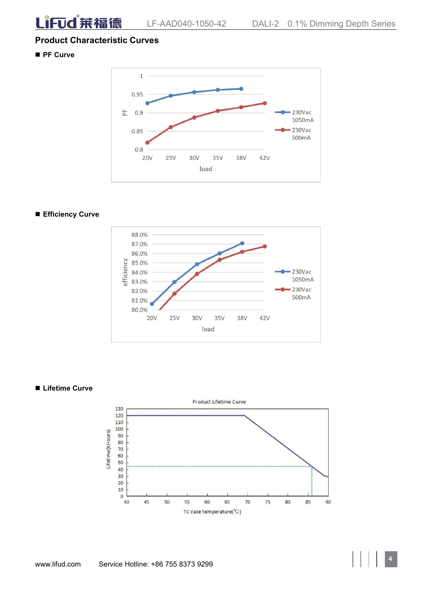LiFud 莱福德

# **Product Characteristic Curves**

**PF Curve**



#### **Efficiency Curve**



#### **Lifetime Curve**

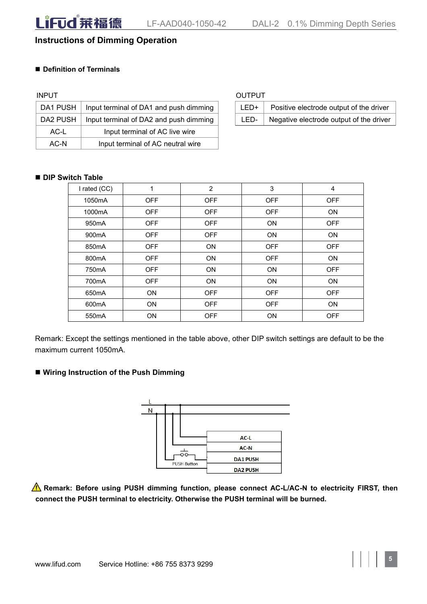# **Instructions of Dimming Operation**

#### **Definition of Terminals**

| DA1 PUSH | Input terminal of DA1 and push dimming | LED+ | Positive electrode output of the driver |
|----------|----------------------------------------|------|-----------------------------------------|
| DA2 PUSH | Input terminal of DA2 and push dimming | LED- | Negative electrode output of the driver |
| AC-L     | Input terminal of AC live wire         |      |                                         |
| AC-N     | Input terminal of AC neutral wire      |      |                                         |

| INPUT |                                                   | <b>OUTPUT</b> |                                         |
|-------|---------------------------------------------------|---------------|-----------------------------------------|
|       | DA1 PUSH   Input terminal of DA1 and push dimming | LED+ L        | Positive electrode output of the driver |
|       | DA2 PUSH   Input terminal of DA2 and push dimming | LED-          | Negative electrode output of the driver |

#### **DIP Switch Table**

| I rated (CC)       | 1          | 2          | $\mathbf{3}$ | 4          |
|--------------------|------------|------------|--------------|------------|
| 1050mA             | OFF        | <b>OFF</b> | <b>OFF</b>   | <b>OFF</b> |
| 1000mA             | OFF        | <b>OFF</b> | <b>OFF</b>   | ON         |
| 950 <sub>m</sub> A | OFF        | <b>OFF</b> | ON           | <b>OFF</b> |
| 900 <sub>m</sub> A | OFF        | <b>OFF</b> | ON           | ON         |
| 850mA              | OFF        | ON         | <b>OFF</b>   | <b>OFF</b> |
| 800mA              | <b>OFF</b> | ON         | <b>OFF</b>   | ON         |
| 750 <sub>m</sub> A | OFF        | ON         | ON           | <b>OFF</b> |
| 700mA              | OFF        | <b>ON</b>  | ON           | ON         |
| 650 <sub>m</sub> A | ON         | <b>OFF</b> | <b>OFF</b>   | <b>OFF</b> |
| 600mA              | ON         | <b>OFF</b> | <b>OFF</b>   | ON         |
| 550mA              | ON         | <b>OFF</b> | ON           | <b>OFF</b> |

Remark: Except the settings mentioned in the table above, other DIP switch settings are default to be the maximum current 1050mA.

#### **Wiring Instruction of the Push Dimming**



**Remark: Before using PUSH dimming function, please connect AC-L/AC-N to electricity FIRST, then connect the PUSH terminal to electricity. Otherwise the PUSH terminal will be burned.**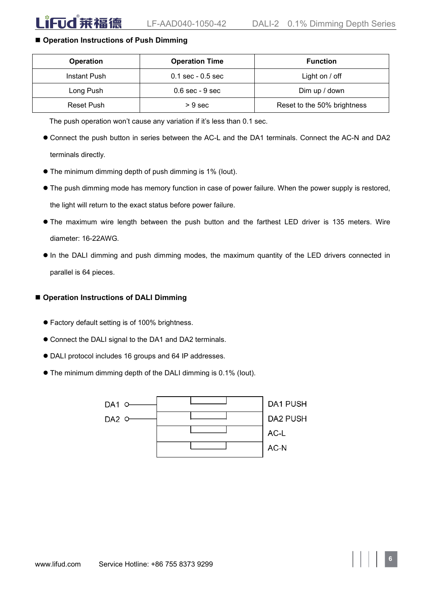#### **Operation Instructions of Push Dimming**

| <b>Operation</b> | <b>Operation Time</b> | <b>Function</b>             |  |  |
|------------------|-----------------------|-----------------------------|--|--|
| Instant Push     | $0.1$ sec - $0.5$ sec | Light on / off              |  |  |
| Long Push        | $0.6$ sec - $9$ sec   | Dim up / down               |  |  |
| Reset Push       | $>9$ sec              | Reset to the 50% brightness |  |  |

The push operation won't cause any variation if it's less than 0.1 sec.

- Connect the push button in series between the AC-L and the DA1 terminals. Connect the AC-N and DA2 terminals directly.
- The minimum dimming depth of push dimming is 1% (Iout).
- $\bullet$  The push dimming mode has memory function in case of power failure. When the power supply is restored, the light will return to the exact status before power failure.
- The maximum wire length between the push button and the farthest LED driver is 135 meters. Wire diameter: 16-22AWG.
- In the DALI dimming and push dimming modes, the maximum quantity of the LED drivers connected in parallel is 64 pieces.

#### **Operation Instructions of DALI Dimming**

- Factory default setting is of 100% brightness.
- Connect the DALI signal to the DA1 and DA2 terminals.
- DALI protocol includes 16 groups and 64 IP addresses.
- The minimum dimming depth of the DALIdimming is0.1% (Iout).

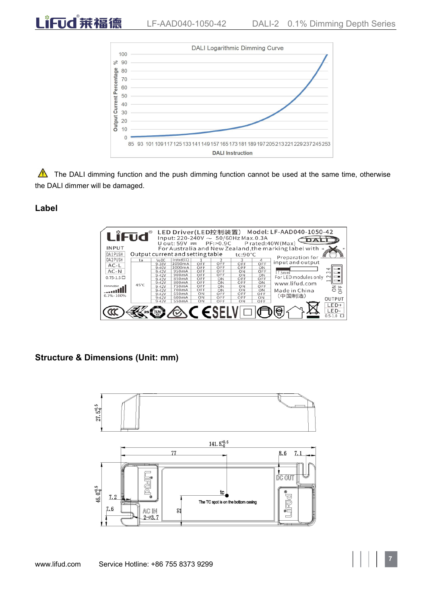

 $\triangle$  The DALI dimming function and the push dimming function cannot be used at the same time, otherwise the DALI dimmer will be damaged.

### **Label**

LiFud 兼福德



#### **Structure & Dimensions (Unit: mm)**

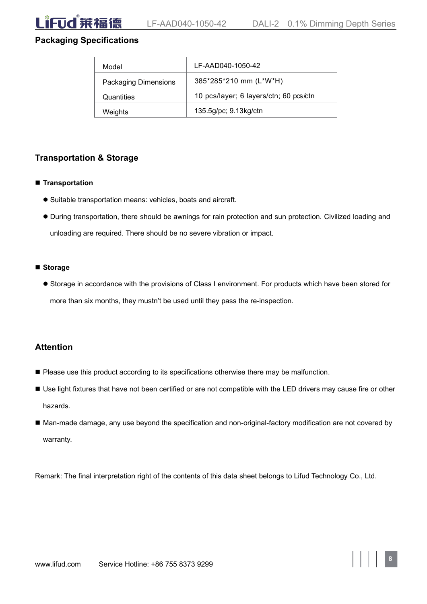# **Packaging Specifications**

| Model                       | LF-AAD040-1050-42                      |
|-----------------------------|----------------------------------------|
| <b>Packaging Dimensions</b> | 385*285*210 mm (L*W*H)                 |
| Quantities                  | 10 pcs/layer; 6 layers/ctn; 60 pcs/ctn |
| Weights                     | 135.5g/pc; 9.13kg/ctn                  |

# **Transportation & Storage**

#### **Transportation**

- Suitable transportation means: vehicles, boats and aircraft.
- During transportation, there should be awnings for rain protection and sun protection. Civilized loading and unloading are required. There should be no severe vibration or impact.

#### **Storage**

 Storage in accordance with the provisions of Class I environment. For products which have been stored for more than six months, they mustn't be used until they pass the re-inspection.

### **Attention**

- **Please use this product according to its specifications otherwise there may be malfunction.**
- Use light fixtures that have not been certified or are not compatible with the LED drivers may cause fire or other hazards.
- Man-made damage, any use beyond the specification and non-original-factory modification are not covered by warranty.

Remark: The final interpretation right of the contents of this data sheet belongs to Lifud Technology Co., Ltd.